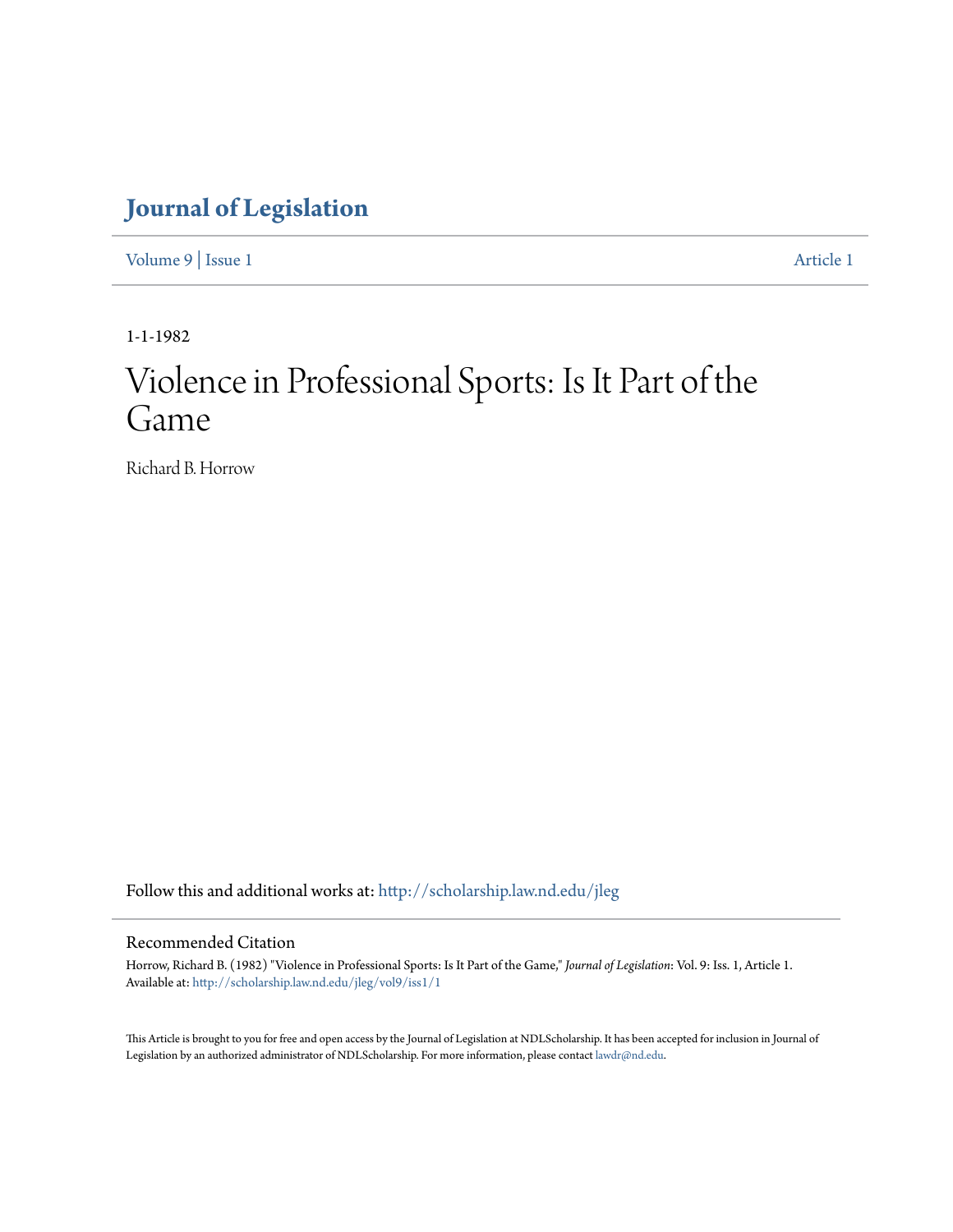## **[Journal of Legislation](http://scholarship.law.nd.edu/jleg?utm_source=scholarship.law.nd.edu%2Fjleg%2Fvol9%2Fiss1%2F1&utm_medium=PDF&utm_campaign=PDFCoverPages)**

[Volume 9](http://scholarship.law.nd.edu/jleg/vol9?utm_source=scholarship.law.nd.edu%2Fjleg%2Fvol9%2Fiss1%2F1&utm_medium=PDF&utm_campaign=PDFCoverPages) | [Issue 1](http://scholarship.law.nd.edu/jleg/vol9/iss1?utm_source=scholarship.law.nd.edu%2Fjleg%2Fvol9%2Fiss1%2F1&utm_medium=PDF&utm_campaign=PDFCoverPages) [Article 1](http://scholarship.law.nd.edu/jleg/vol9/iss1/1?utm_source=scholarship.law.nd.edu%2Fjleg%2Fvol9%2Fiss1%2F1&utm_medium=PDF&utm_campaign=PDFCoverPages)

1-1-1982

# Violence in Professional Sports: Is It Part of the Game

Richard B. Horrow

Follow this and additional works at: [http://scholarship.law.nd.edu/jleg](http://scholarship.law.nd.edu/jleg?utm_source=scholarship.law.nd.edu%2Fjleg%2Fvol9%2Fiss1%2F1&utm_medium=PDF&utm_campaign=PDFCoverPages)

#### Recommended Citation

Horrow, Richard B. (1982) "Violence in Professional Sports: Is It Part of the Game," *Journal of Legislation*: Vol. 9: Iss. 1, Article 1. Available at: [http://scholarship.law.nd.edu/jleg/vol9/iss1/1](http://scholarship.law.nd.edu/jleg/vol9/iss1/1?utm_source=scholarship.law.nd.edu%2Fjleg%2Fvol9%2Fiss1%2F1&utm_medium=PDF&utm_campaign=PDFCoverPages)

This Article is brought to you for free and open access by the Journal of Legislation at NDLScholarship. It has been accepted for inclusion in Journal of Legislation by an authorized administrator of NDLScholarship. For more information, please contact [lawdr@nd.edu.](mailto:lawdr@nd.edu)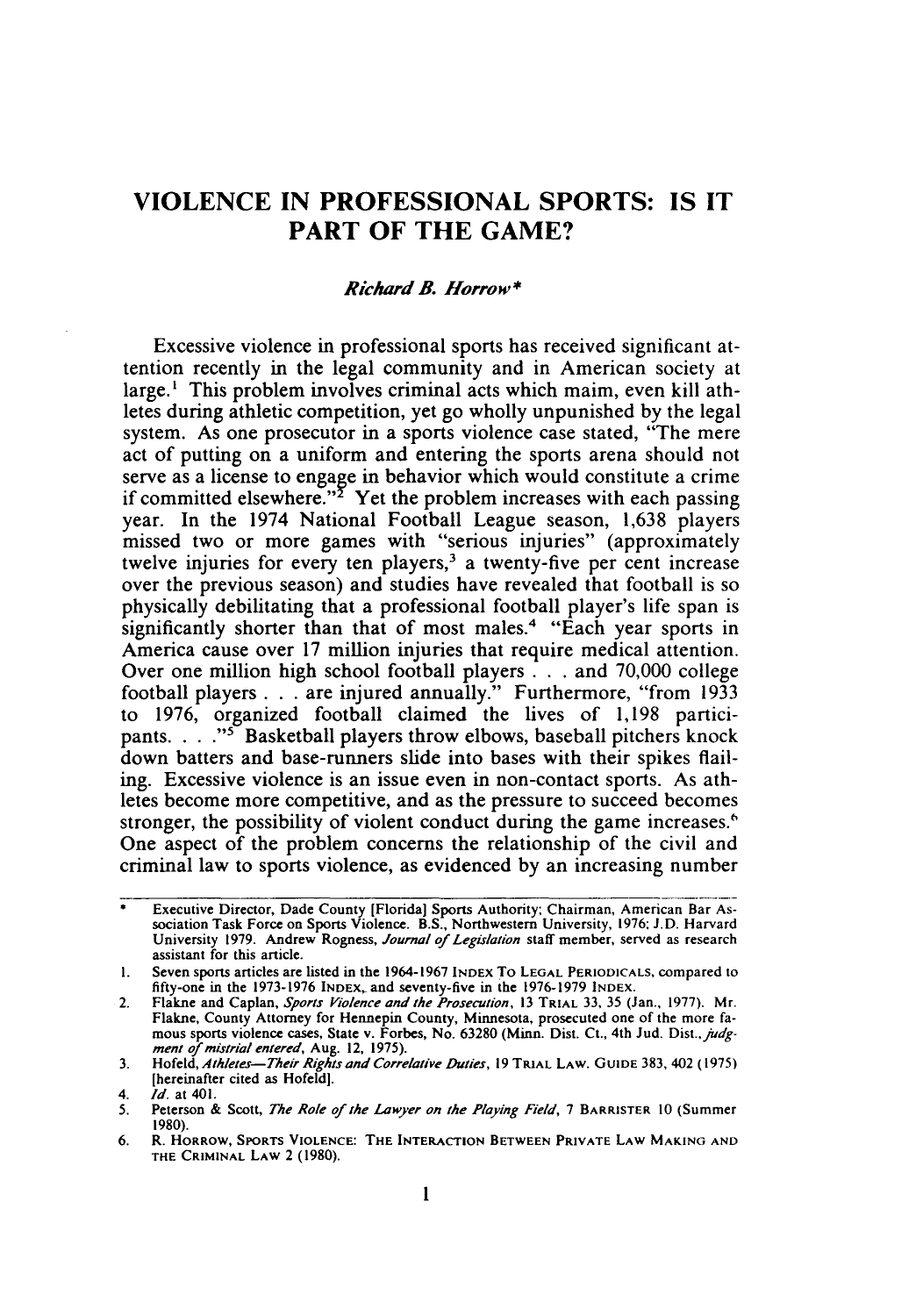### **VIOLENCE IN PROFESSIONAL SPORTS: IS IT PART OF THE GAME?**

#### *Richard B. Horro w* **\***

Excessive violence in professional sports has received significant attention recently in the legal community and in American society at large.' This problem involves criminal acts which maim, even kill athletes during athletic competition, yet go wholly unpunished **by** the legal system. As one prosecutor in a sports violence case stated, "The mere act of putting on a uniform and entering the sports arena should not serve as a license to engage in behavior which would constitute a crime if committed elsewhere."<sup>2</sup> Yet the problem increases with each passing year. In the 1974 National Football League season, **1,638** players missed two or more games with "serious injuries" (approximately twelve injuries for every ten players,<sup>3</sup> a twenty-five per cent increase over the previous season) and studies have revealed that football is so physically debilitating that a professional football player's life span is significantly shorter than that of most males.<sup>4</sup> "Each year sports in America cause over 17 million injuries that require medical attention. Over one million high school football players **. . .** and 70,000 college football players **. . .** are injured annually." Furthermore, "from 1933 to 1976, organized football claimed the lives of 1,198 participants. . **. ."I** Basketball players throw elbows, baseball pitchers knock down batters and base-runners slide into bases with their spikes flailing. Excessive violence is an issue even in non-contact sports. As athletes become more competitive, and as the pressure to succeed becomes stronger, the possibility of violent conduct during the game increases.<sup>6</sup> One aspect of the problem concerns the relationship of the civil and criminal law to sports violence, as evidenced by an increasing number

<sup>\*</sup> Executive Director, Dade County [Florida] Sports Authority; Chairman, American Bar Association Task Force on Sports Violence. B.S., Northwestern University, **1976; J.D.** Harvard University 1979. Andrew Rogness, Journal of Legislation staff member, served as research assistant for this article.

<sup>1.</sup> Seven sports articles are listed in the 1964-1967 **INDEX** To **LEGAL** PERIODICALS, compared to fifty-one in the 1973-1976 INDEX, and seventy-five in the 1976-1979 INDEX.

<sup>2.</sup> Flakne and Caplan, Sports Violence and the Prosecution, 13 **TRIAL 33,** 35 (Jan., 1977). Mr. Flakne, County Attorney for Hennepin County, Minnesota, prosecuted one of the more famous sports violence cases, State v. Forbes, No. 63280 (Minn. Dist. Ct., 4th Jud. Dist., *judg*ment of mistrial entered, Aug. 12, 1975).

<sup>3.</sup> Hofeld, Athletes-Their Rights and Correlative Duties, 19 TRIAL LAW. GUIDE 383, 402 (1975) [hereinafter cited as Hofeld].

*<sup>4.</sup> Id.* at 401.

<sup>5.</sup> Peterson & Scott, *The Role of the Lawyer on the Playing Field*, 7 BARRISTER 10 (Summer 1980).

<sup>6.</sup> R. **HORROW, SPORTS VIOLENCE:** THE **INTERACTION BETWEEN PRIVATE LAW MAKING AND THE** CRIMINAL LAW 2 (1980).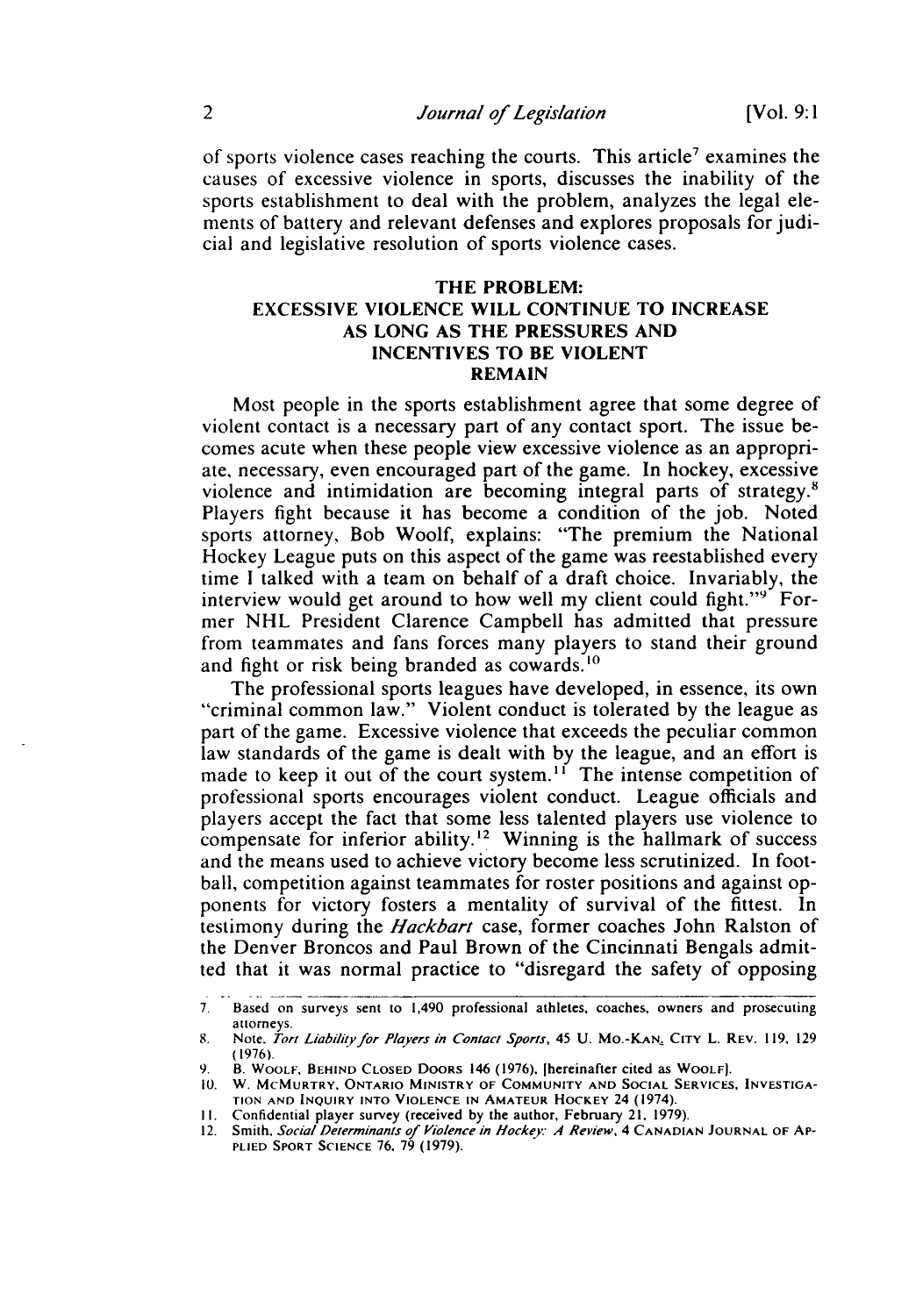of sports violence cases reaching the courts. This article<sup>7</sup> examines the causes of excessive violence in sports, discusses the inability of the sports establishment to deal with the problem, analyzes the legal elements of battery and relevant defenses and explores proposals for judicial and legislative resolution of sports violence cases.

#### THE PROBLEM: EXCESSIVE VIOLENCE WILL CONTINUE TO INCREASE AS LONG AS THE PRESSURES AND INCENTIVES TO BE VIOLENT REMAIN

Most people in the sports establishment agree that some degree of violent contact is a necessary part of any contact sport. The issue becomes acute when these people view excessive violence as an appropriate, necessary, even encouraged part of the game. In hockey, excessive violence and intimidation are becoming integral parts of strategy.8 Players fight because it has become a condition of the job. Noted sports attorney, Bob Woolf, explains: "The premium the National Hockey League puts on this aspect of the game was reestablished every time I talked with a team on behalf of a draft choice. Invariably, the interview would get around to how well my client could fight."<sup>9</sup> Former NHL President Clarence Campbell has admitted that pressure from teammates and fans forces many players to stand their ground and fight or risk being branded as cowards.<sup>10</sup>

The professional sports leagues have developed, in essence, its own "criminal common law." Violent conduct is tolerated by the league as part of the game. Excessive violence that exceeds the peculiar common law standards of the game is dealt with by the league, and an effort is made to keep it out of the court system.<sup>11</sup> The intense competition of professional sports encourages violent conduct. League officials and players accept the fact that some less talented players use violence to compensate for inferior ability.<sup>12</sup> Winning is the hallmark of success and the means used to achieve victory become less scrutinized. In football, competition against teammates for roster positions and against opponents for victory fosters a mentality of survival of the fittest. In testimony during the *Hackbart* case, former coaches John Ralston of the Denver Broncos and Paul Brown of the Cincinnati Bengals admitted that it was normal practice to "disregard the safety of opposing

**<sup>7.</sup>** Based on surveys sent to 1,490 professional athletes, coaches, owners and prosecuting attorneys.

<sup>8.</sup> Note. *Tort Liabilityfor Players in Contact Sports,* 45 U. Mo.-KAN. **CITY** L. REV. 119, 129 (1976).

<sup>9.</sup> B. WOOLF, **BEHIND CLOSED DOORS** 146 (1976). [hereinafter cited as WOOLF).

<sup>10.</sup> W. MCMURTRY, ONTARIO MINISTRY OF **COMMUNITY AND SOCIAL SERVICES, INVESTIGA-TION AND INQUIRY INTO VIOLENCE IN** AMATEUR HOCKEY 24 (1974).

II. Confidential player survey (received by the author, February 21, 1979). 12. Smith, *Social Determinants of Violence in Hockey. A Review,* 4 **CANADIAN JOURNAL** OF **AP-PLIED** SPORT **SCIENCE** 76. 79 (1979).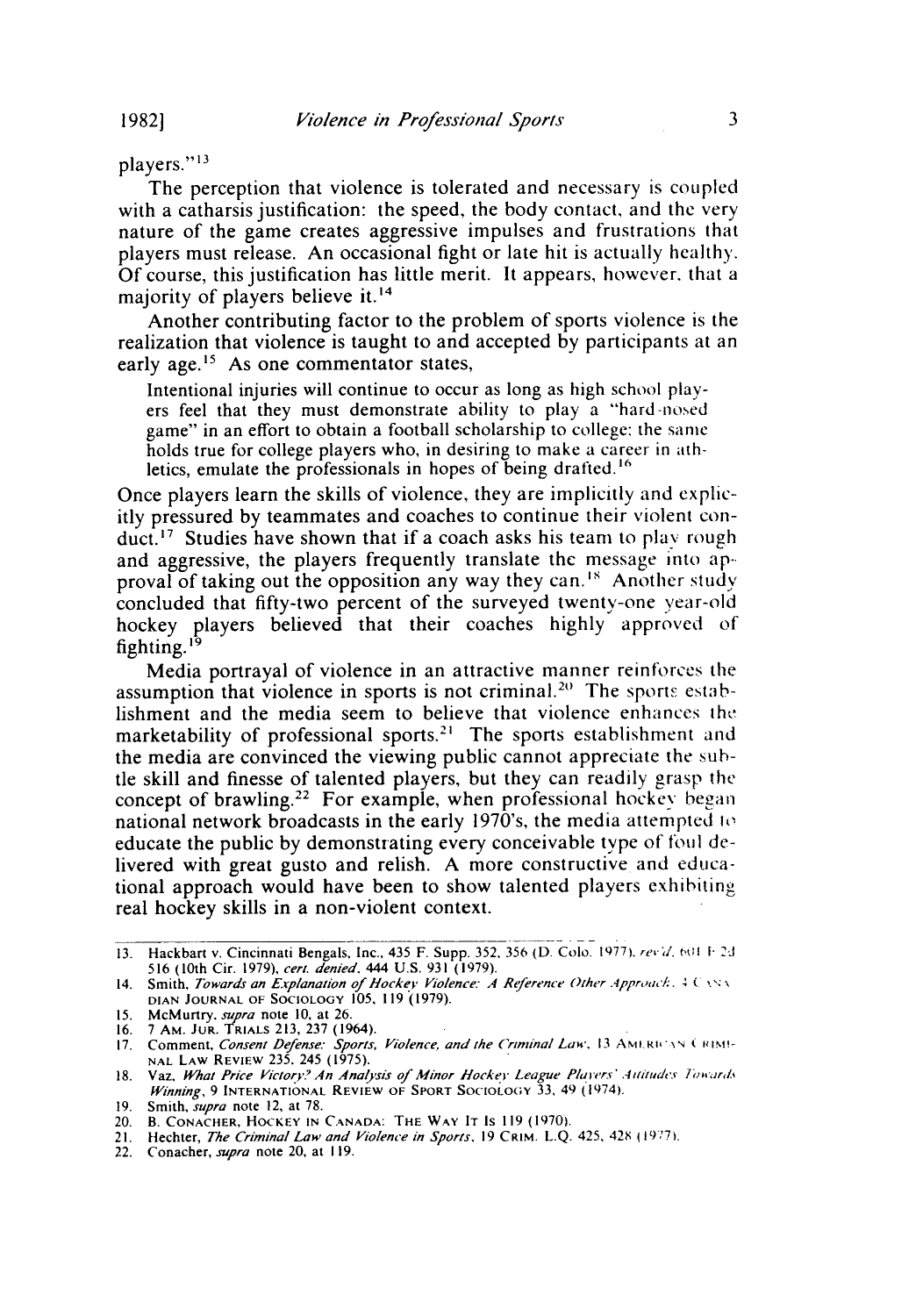players."<sup>13</sup>

The perception that violence is tolerated and necessary is coupled with a catharsis justification: the speed, the body contact, and the very nature of the game creates aggressive impulses and frustrations that players must release. An occasional fight or late hit is actually healthy. Of course, this justification has little merit. It appears, however, that a majority of players believe it.<sup>14</sup>

Another contributing factor to the problem of sports violence is the realization that violence is taught to and accepted by participants at an early age.<sup>15</sup> As one commentator states,

Intentional injuries will continue to occur as long as high school players feel that they must demonstrate ability to play a "hard-nosed game" in an effort to obtain a football scholarship to college: the same holds true for college players who, in desiring to make a career in athletics, emulate the professionals in hopes of being drafted.<sup>16</sup>

Once players learn the skills of violence, they are implicitly and explicitly pressured by teammates and coaches to continue their violent conduct.'" Studies have shown that if a coach asks his team to play rough and aggressive, the players frequently translate the message into ap-. proval of taking out the opposition any way they can.'" Another study concluded that fifty-two percent of the surveyed twenty-one year-old hockey players believed that their coaches highly approved of fighting.<sup>15</sup>

Media portrayal of violence in an attractive manner reinforces the assumption that violence in sports is not criminal.<sup>20</sup> The sports establishment and the media seem to believe that violence enhances **the** marketability of professional sports.<sup>21</sup> The sports establishment and the media are convinced the viewing public cannot appreciate the subtle skill and finesse of talented players, but they can readily grasp the concept of brawling.<sup>22</sup> For example, when professional hockey began national network broadcasts in the early 1970's, the media attempted to educate the public by demonstrating every conceivable type of foul delivered with great gusto and relish. A more constructive and educational approach would have been to show talented players exhibiting real hockey skills in a non-violent context.

<sup>13.</sup> Hackbart v. Cincinnati Bengals, Inc., 435 F. Supp. 352, 356 (D. Colo. 1977). *revid.* 601 F.2d 516 (10th Cir. 1979), cert. denied. 444 U.S. 931 (1979).

<sup>14.</sup> Smith, Towards an Explanation of *locke'* Violence. *A Reference Other Approac/:. 4 ( x'.* **DIAN JOURNAL** OF **SOCIOLOGY** 105. **119** (1979).

<sup>15.</sup> McMurtry, *supra* note 10, at 26.<br>16. 7 AM. JUR. TRIALS 213, 237 (1964).<br>17. Comment, *Consent Defense: Sports, Violence, and the Criminal Law*., 13 AMERICAN CRIME<br>NAL LAW REVIEW 235, 245 (1975).

<sup>18.</sup> Vaz, What Price Victory? An Analysis of Minor Hockey League Players' Attitudes Towards *Winning,* 9 **INTERNATIONAL REVIEW** OF SPORT **SOCIOLOiY 33,** 49 (1974).

<sup>19.</sup> Smith, *supra* note 12, at 78.

<sup>20.</sup> **B. CONACHER,** HOCKEY **IN CANADA: THE WAY IT IS 119 (1970).** 21. Hechter, *The Criminal Law and Violence in Sports,* **19** CRIM. L.Q. 425. 42 **19"77**

<sup>22.</sup> Conacher, *supra* note 20, at 119.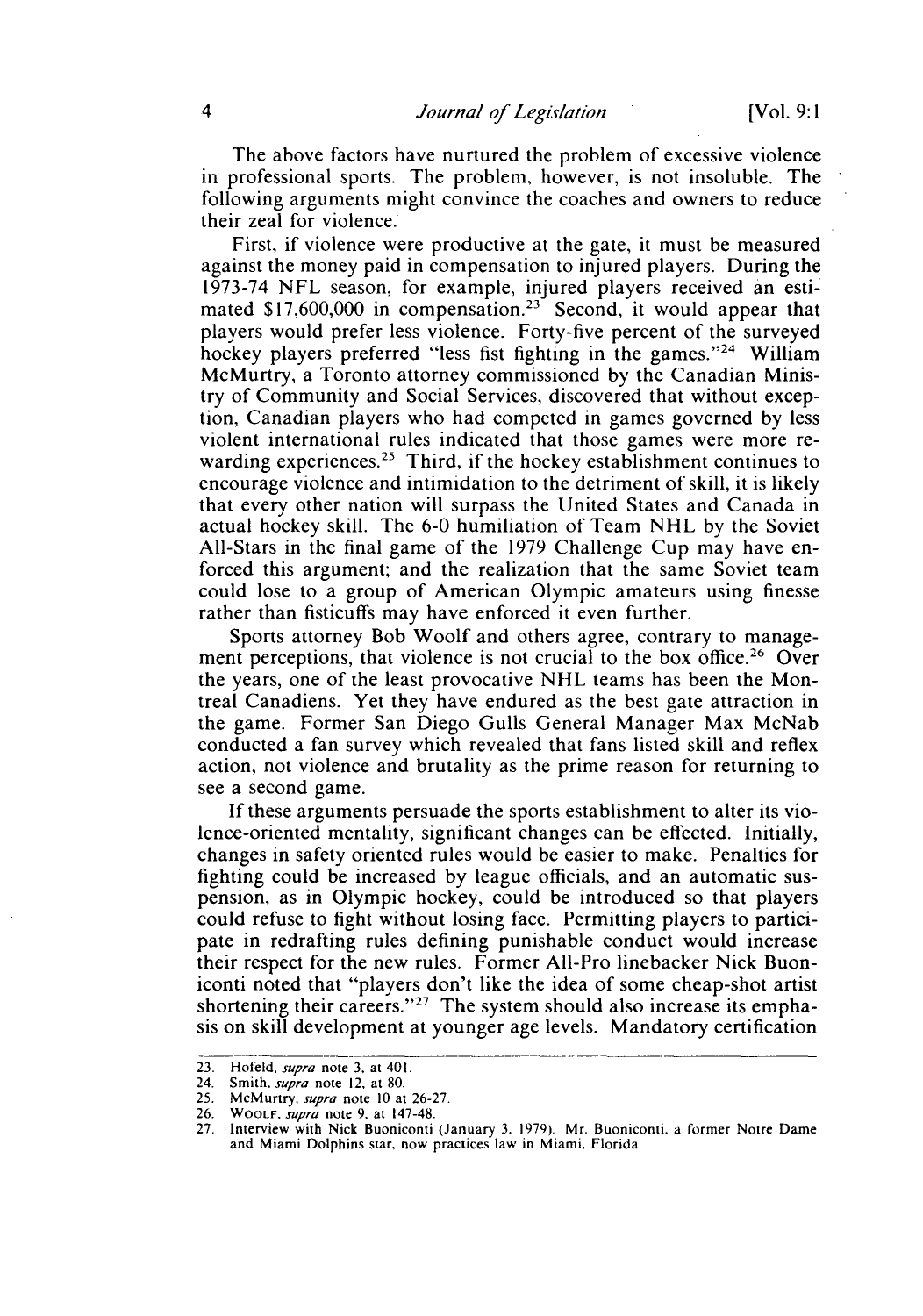The above factors have nurtured the problem of excessive violence in professional sports. The problem, however, is not insoluble. The following arguments might convince the coaches and owners to reduce their zeal for violence.

First, if violence were productive at the gate, it must be measured against the money paid in compensation to injured players. During the 1973-74 NFL season, for example, injured players received an estimated  $$17,600,000$  in compensation.<sup>23</sup> Second, it would appear that players would prefer less violence. Forty-five percent of the surveyed hockey players preferred "less fist fighting in the games."<sup>24</sup> William McMurtry, a Toronto attorney commissioned by the Canadian Ministry of Community and Social Services, discovered that without exception, Canadian players who had competed in games governed by less violent international rules indicated that those games were more rewarding experiences.<sup>25</sup> Third, if the hockey establishment continues to encourage violence and intimidation to the detriment of skill, it is likely that every other nation will surpass the United States and Canada in actual hockey skill. The 6-0 humiliation of Team NHL by the Soviet All-Stars in the final game of the 1979 Challenge Cup may have enforced this argument; and the realization that the same Soviet team could lose to a group of American Olympic amateurs using finesse rather than fisticuffs may have enforced it even further.

Sports attorney Bob Woolf and others agree, contrary to management perceptions, that violence is not crucial to the box office.<sup>26</sup> Over the years, one of the least provocative NHL teams has been the Montreal Canadiens. Yet they have endured as the best gate attraction in the game. Former San Diego Gulls General Manager Max McNab conducted a fan survey which revealed that fans listed skill and reflex action, not violence and brutality as the prime reason for returning to see a second game.

If these arguments persuade the sports establishment to alter its violence-oriented mentality, significant changes can be effected. Initially, changes in safety oriented rules would be easier to make. Penalties for fighting could be increased by league officials, and an automatic suspension, as in Olympic hockey, could be introduced so that players could refuse to fight without losing face. Permitting players to participate in redrafting rules defining punishable conduct would increase their respect for the new rules. Former All-Pro linebacker Nick Buoniconti noted that "players don't like the idea of some cheap-shot artist shortening their careers." $27$  The system should also increase its emphasis on skill development at younger age levels. Mandatory certification

<sup>23.</sup> Hofeld, *supra* note 3. at 401.

<sup>24.</sup> Smith. *supra* note 12, at 80.

<sup>25.</sup> McMurtry. *supra* note 10 at 26-27.

<sup>26.</sup> WOOLF, *supra* note 9. at 147-48.

<sup>27.</sup> Interview with Nick Buoniconti (January 3. 1979). Mr. Buoniconti, a former Notre Dame and Miami Dolphins star, now practices law in Miami. Florida.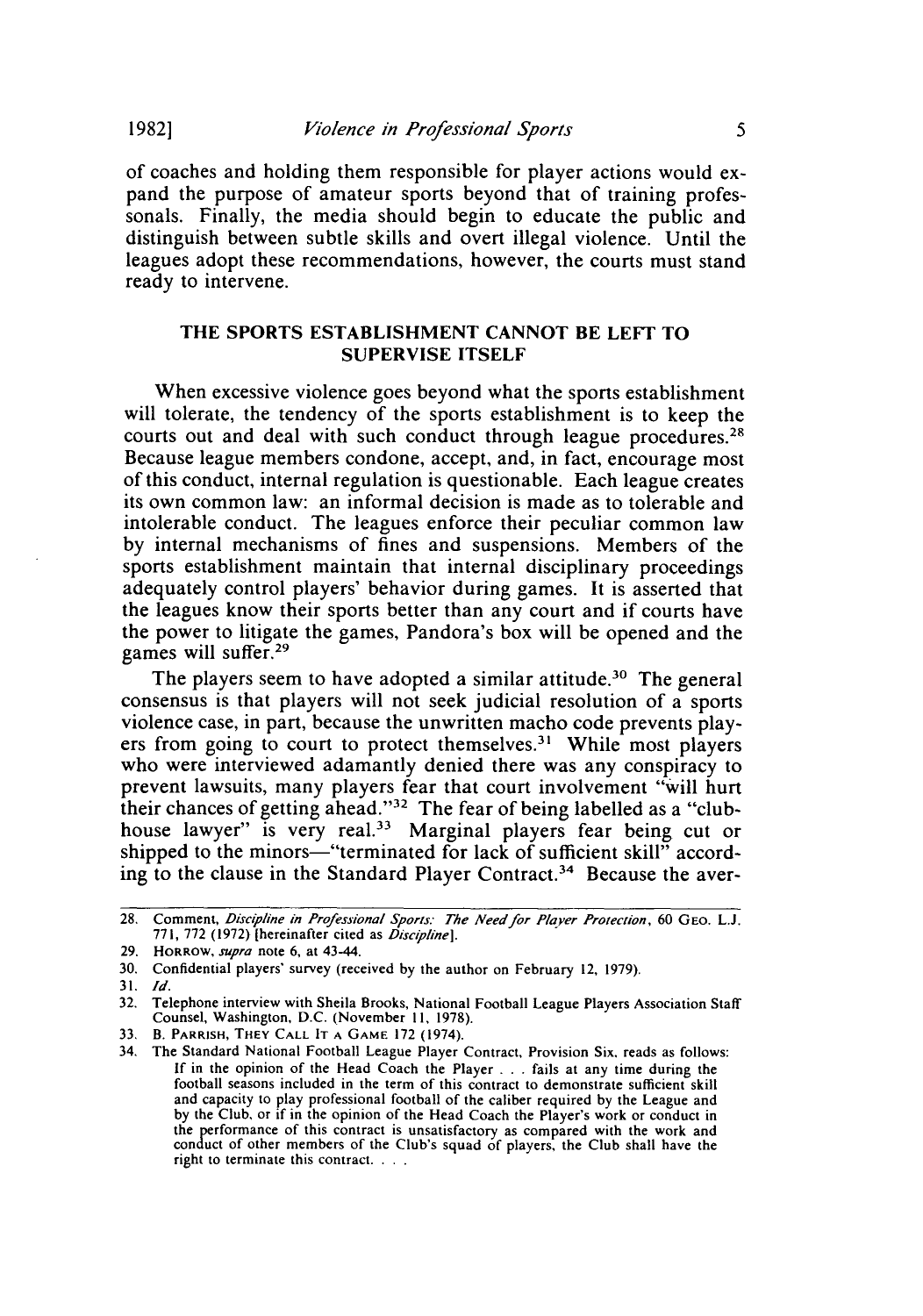of coaches and holding them responsible for player actions would expand the purpose of amateur sports beyond that of training professonals. Finally, the media should begin to educate the public and distinguish between subtle skills and overt illegal violence. Until the leagues adopt these recommendations, however, the courts must stand ready to intervene.

#### THE SPORTS **ESTABLISHMENT** CANNOT BE LEFT TO SUPERVISE **ITSELF**

When excessive violence goes beyond what the sports establishment will tolerate, the tendency of the sports establishment is to keep the courts out and deal with such conduct through league **procedures.** Because league members condone, accept, and, in fact, encourage most of this conduct, internal regulation is questionable. Each league creates its own common law: an informal decision is made as to tolerable and intolerable conduct. The leagues enforce their peculiar common law **by** internal mechanisms of fines and suspensions. Members of the sports establishment maintain that internal disciplinary proceedings adequately control players' behavior during games. It is asserted that the leagues know their sports better than any court and if courts have the power to litigate the games, Pandora's box will be opened and the games will suffer.<sup>29</sup>

The players seem to have adopted a similar attitude.<sup>30</sup> The general consensus is that players will not seek judicial resolution of a sports violence case, in part, because the unwritten macho code prevents players from going to court to protect themselves.<sup>31</sup> While most players who were interviewed adamantly denied there was any conspiracy to prevent lawsuits, many players fear that court involvement "will hurt their chances of getting ahead."32 The fear of being labelled as a "clubhouse lawyer" is very real.<sup>33</sup> Marginal players fear being cut or shipped to the minors—"terminated for lack of sufficient skill" according to the clause in the Standard Player Contract.<sup>34</sup> Because the aver-

31. *Id.*

**19821**

<sup>28.</sup> Comment, *Discipline in Professional Sports. The Needfor Player Protection,* **60** GEO. L.J. 771, 772 (1972) [hereinafter cited as *Disciplinel.*

<sup>29.</sup> HORROW, *supra* note 6, at 43-44.

<sup>30.</sup> Confidential players' survey (received by the author on February 12, 1979).

<sup>32.</sup> Telephone interview with Sheila Brooks, National Football League Players Association Staff Counsel, Washington, D.C. (November II, 1978).

**<sup>33,</sup>** B. PARRISH, THEY **CALL** IT **A GAME** 172 (1974).

*<sup>34.</sup>* The Standard National Football League Player Contract, Provision Six, reads as follows: If in the opinion of the Head Coach the Player ...fails at any time during the football seasons included in the term of this contract to demonstrate sufficient skill and capacity to play professional football of the caliber required by the League and by the Club, or if in the opinion of the Head Coach the Player's work or conduct in the performance of this contract is unsatisfactory as compared with the work and conduct of other members of the Club's squad of players, the Club shall have the right to terminate this contract. **...**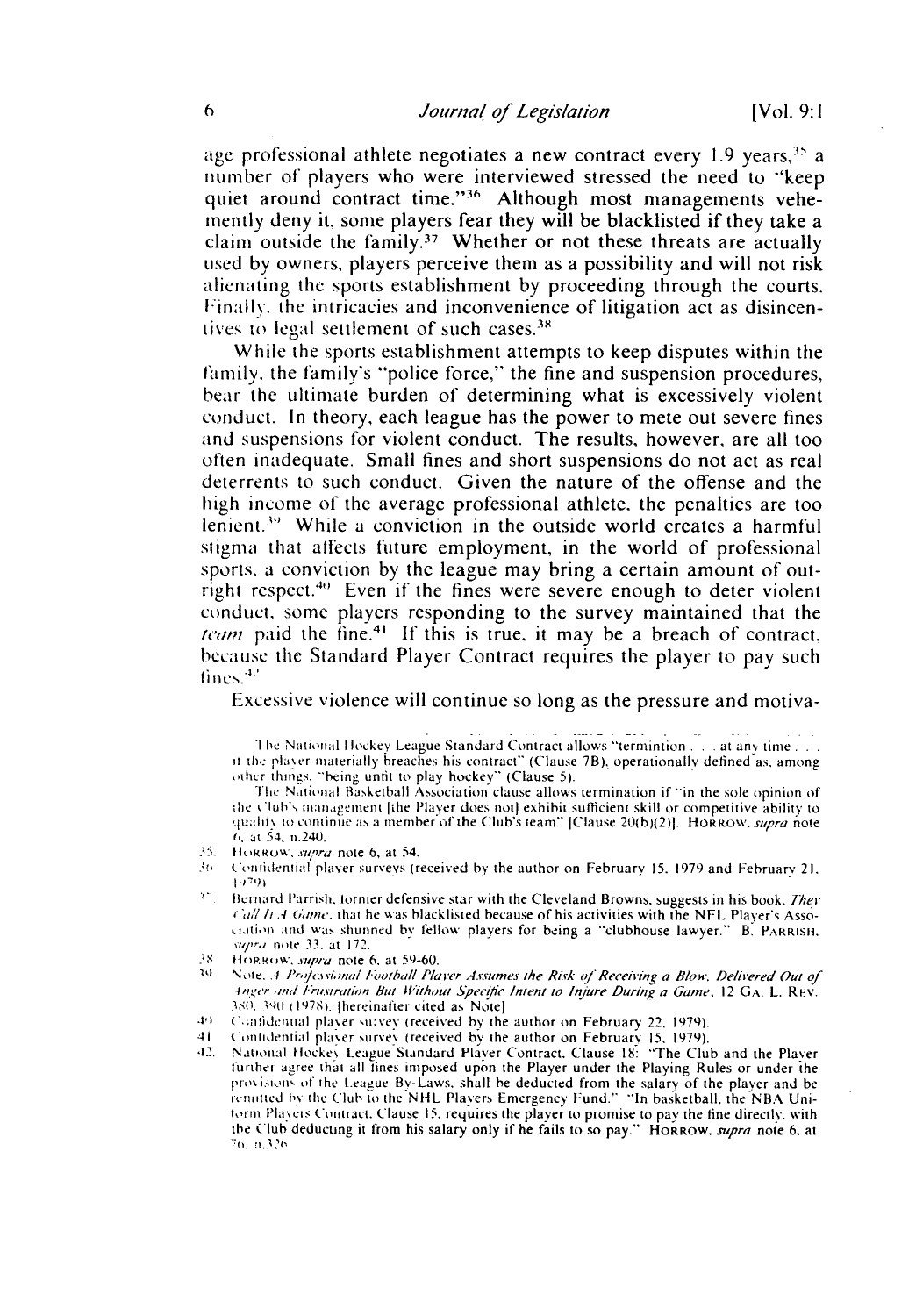age professional athlete negotiates a new contract every  $1.9$  years,  $35$  a number of players who were interviewed stressed the need to "keep quiet around contract time."<sup>36</sup> Although most managements vehemently deny it, some players fear they will be blacklisted if they take a claim outside the family.<sup>37</sup> Whether or not these threats are actually used by owners, players perceive them as a possibility and will not risk alienating the sports establishment by proceeding through the courts. Finally, the intricacies and inconvenience of litigation act as disincentives to legal settlement of such cases.<sup>38</sup>

While the sports establishment attempts to keep disputes within the family, the family's "police force," the fine and suspension procedures, bear the ultimate burden of determining what is excessively violent conduct. In theory, each league has the power to mete out severe fines and suspensions for violent conduct. The results, however, are all too often inadequate. Small fines and short suspensions do not act as real deterrents to such conduct. Given the nature of the offense and the high income of the average professional athlete, the penalties are too lenient.<sup>39</sup> While a conviction in the outside world creates a harmful stigma that affects future employment, in the world of professional sports. a conviction by the league may bring a certain amount of outright respect.<sup>40</sup> Even if the fines were severe enough to deter violent conduct, some players responding to the survey maintained that the *team* paid the fine.<sup>41</sup> If this is true, it may be a breach of contract, because the Standard Player Contract requires the player to pay such tines.<sup>42</sup>

Excessive violence will continue so long as the pressure and motiva-

**I** he National Hockey League Standard Contract allows "termintion . . . at any time... it the player materially breaches his contract" (Clause 7B), operationally defined as, among other things. "being unfit to play hockey" (Clause 5).

The National Basketball Association clause allows termination if "in the sole opinion of the Club's management [the Player does not] exhibit sufficient skill or competitive ability to quality to continue as a member of the Club's team" [Clause 20(b)(2)]. Horrow, *supra* note **6..** *at 54.* n.240.

- 't. th *Rkot ',"* ra note 6, at 54.
- $36$  Contidential player surveys (received by the author on February 15, 1979 and February 21, 1979)
- <sup>27</sup>. Bernard Parrish, former defensive star with the Cleveland Browns, suggests in his book. *They* 1' *// .4 6,amn.* that he %%as blacklisted because of his activities with the NFL Player's Association and was shunned by fellow players for being a "clubhouse lawyer." B. PARRISH. *,r,* note 33. at 172.
- *IS* HORROW, *supra* note 6, at 59-60.
- Note. *A Professional Football Player Assumes the Risk of Receiving a Blow. Delivered Out of* In ,er *am/tl rut-trat* on *But* **i** *thout* Soet'ic Intent to Injure During a Game. 12 **GA.** L. Ri.v. **3S, 1, 978). I** hereinafter cited as Note]
- 49 Comfidential player suivey (received by the author on February 22, 1979).
- 41 Contidential player survey (received by the author on February 15, 1979).
- **,2.** National tlocke League Standard Player Contract. Clause **18:** "The Club and the Player turther agree that all tines imposed upon the Player under the Playing Rules or under ihe provisions of the League By-Laws, shall be deducted from the salary of the player and be remitted by the Club to the NHL Players Emergency Fund." "In basketball, the NBA Uniform Players Contract. Clause 15, requires the player to promise to pay the fine directly, with the Club deducting it from his salary only if he fails to so pay." HORROW. *supra* note 6. at *-:6. -1.321,*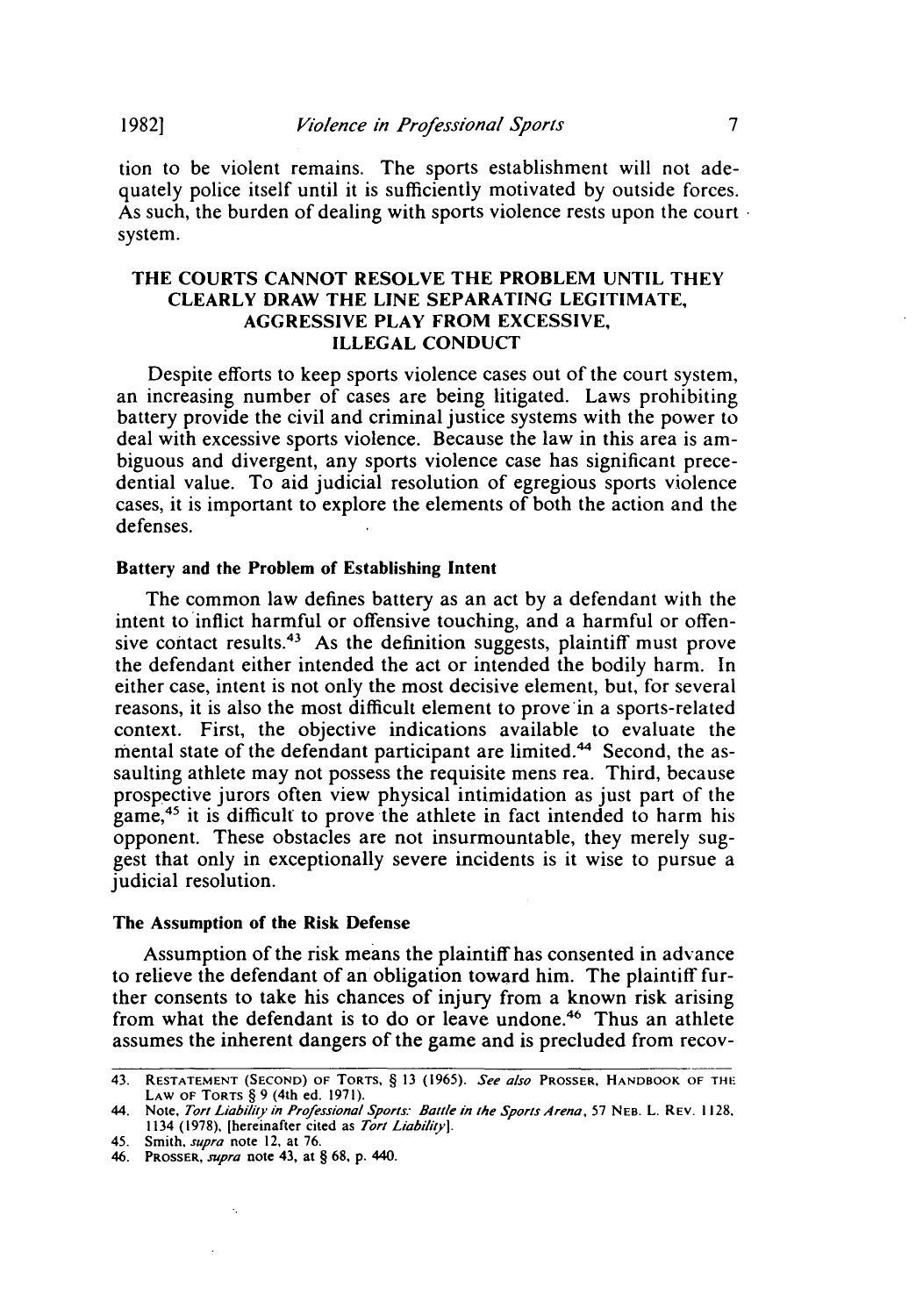**19821**

tion to be violent remains. The sports establishment will not adequately police itself until it is sufficiently motivated by outside forces. As such, the burden of dealing with sports violence rests upon the court system.

#### THE COURTS CANNOT RESOLVE THE PROBLEM UNTIL THEY CLEARLY DRAW THE LINE SEPARATING LEGITIMATE, AGGRESSIVE PLAY FROM EXCESSIVE, ILLEGAL CONDUCT

Despite efforts to keep sports violence cases out of the court system, an increasing number of cases are being litigated. Laws prohibiting battery provide the civil and criminal justice systems with the power to deal with excessive sports violence. Because the law in this area is ambiguous and divergent, any sports violence case has significant precedential value. To aid judicial resolution of egregious sports violence cases, it is important to explore the elements of both the action and the defenses.

#### Battery and the Problem of Establishing Intent

The common law defines battery as an act by a defendant with the intent to inflict harmful or offensive touching, and a harmful or offensive contact results.<sup>43</sup> As the definition suggests, plaintiff must prove the defendant either intended the act or intended the bodily harm. In either case, intent is not only the most decisive element, but, for several reasons, it is also the most difficult element to prove in a sports-related context. First, the objective indications available to evaluate the mental state of the defendant participant are limited.<sup>44</sup> Second, the assaulting athlete may not possess the requisite mens rea. Third, because prospective jurors often view physical intimidation as just part of the game,<sup>45</sup> it is difficult to prove the athlete in fact intended to harm his opponent. These obstacles are not insurmountable, they merely suggest that only in exceptionally severe incidents is it wise to pursue a judicial resolution.

#### The Assumption of the Risk Defense

Assumption of the risk means the plaintiff has consented in advance to relieve the defendant of an obligation toward him. The plaintiff further consents to take his chances of injury from a known risk arising from what the defendant is to do or leave undone.<sup>46</sup> Thus an athlete assumes the inherent dangers of the game and is precluded from recov-

 $\cdot,$ 

<sup>43.</sup> **RESTATEMENT (SECOND)** OF TORTS, § 13 (1965). *See also* PROSSER, HANDBOOK OF **THI"** LAW **OF** TORTS § 9 (4th ed. 1971).

<sup>44.</sup> Note, *Tort* Liabiliy in Professional Sports: Battle in the Sports Arena, 57 **NEB.** L. REV. 1128. 1134 (1978), [hereinafter cited as *Tort Liability].*

<sup>45.</sup> Smith, *supra* note 12, at 76.

<sup>46.</sup> PROSSER, *supra* note 43, at § 68, p. 440.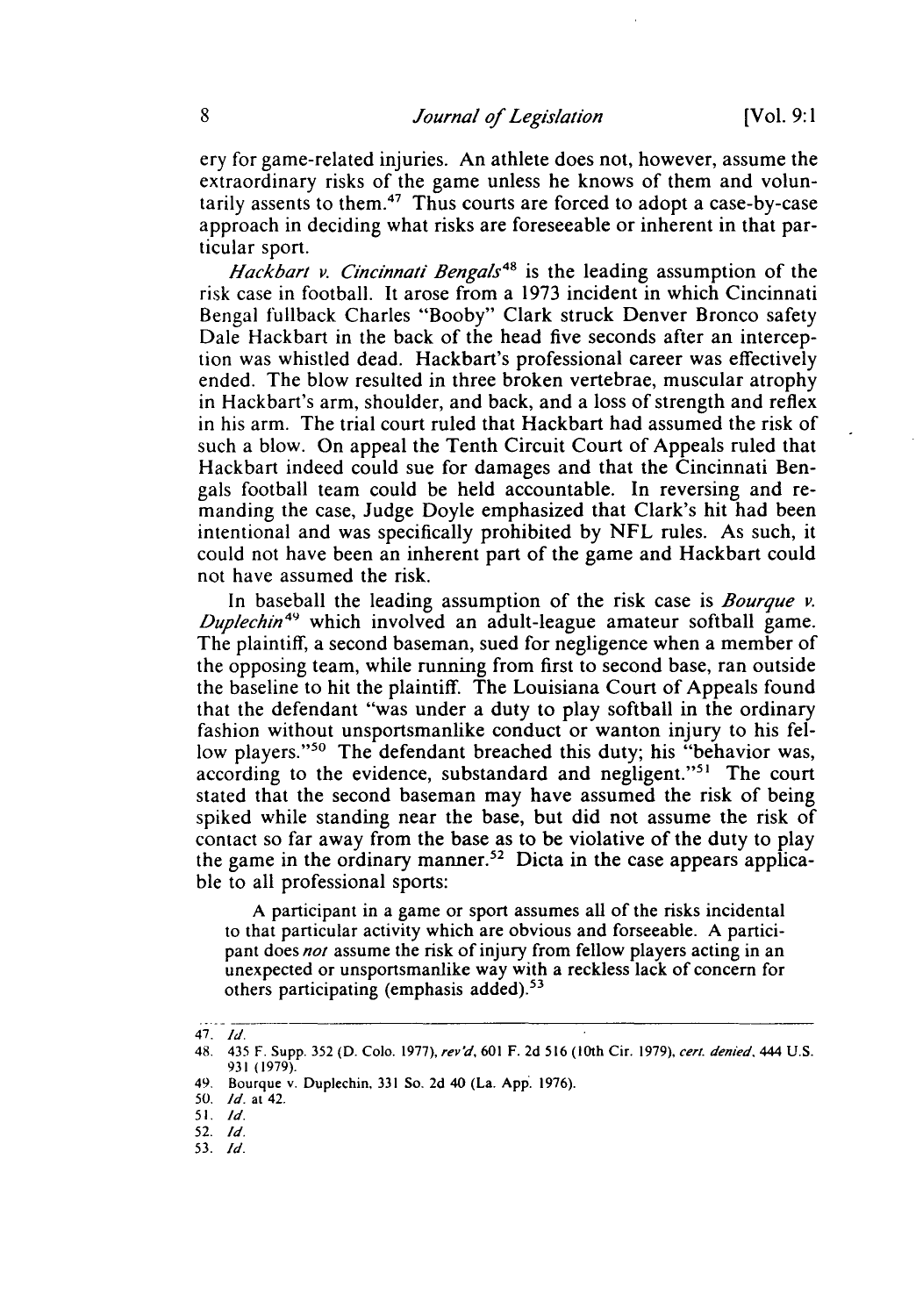ery for game-related injuries. An athlete does not, however, assume the extraordinary risks of the game unless he knows of them and voluntarily assents to them.47 Thus courts are forced to adopt a case-by-case approach in deciding what risks are foreseeable or inherent in that particular sport.

*Hackbart v. Cincinnati Bengals48* is the leading assumption of the risk case in football. It arose from a 1973 incident in which Cincinnati Bengal fullback Charles "Booby" Clark struck Denver Bronco safety Dale Hackbart in the back of the head five seconds after an interception was whistled dead. Hackbart's professional career was effectively ended. The blow resulted in three broken vertebrae, muscular atrophy in Hackbart's arm, shoulder, and back, and a loss of strength and reflex in his arm. The trial court ruled that Hackbart had assumed the risk of such a blow. On appeal the Tenth Circuit Court of Appeals ruled that Hackbart indeed could sue for damages and that the Cincinnati Bengals football team could be held accountable. In reversing and remanding the case, Judge Doyle emphasized that Clark's hit had been intentional and was specifically prohibited by NFL rules. As such, it could not have been an inherent part of the game and Hackbart could not have assumed the risk.

In baseball the leading assumption of the risk case is *Bourque v. Duplechin*<sup>49</sup> which involved an adult-league amateur softball game. The plaintiff, a second baseman, sued for negligence when a member of the opposing team, while running from first to second base, ran outside the baseline to hit the plaintiff. The Louisiana Court of Appeals found that the defendant "was under a duty to play softball in the ordinary fashion without unsportsmanlike conduct or wanton injury to his fellow players."<sup>50</sup> The defendant breached this duty; his "behavior was, according to the evidence, substandard and negligent."<sup>51</sup> The court stated that the second baseman may have assumed the risk of being spiked while standing near the base, but did not assume the risk of contact so far away from the base as to be violative of the duty to play the game in the ordinary manner.<sup>52</sup> Dicta in the case appears applicable to all professional sports:

A participant in a game or sport assumes all of the risks incidental to that particular activity which are obvious and forseeable. A participant does *not* assume the risk of injury from fellow players acting in an unexpected or unsportsmanlike way with a reckless lack of concern for others participating (emphasis added).<sup>53</sup>

<sup>47.</sup> **Id.**

<sup>48.</sup> 435 F. Supp. 352 (D. Colo. 1977), rev'd, 601 F. 2d 516 (10th Cir. 1979), cert. denied, 444 U.S. 931 (1979).

*<sup>49,</sup>* Bourque v. Duplechin, 331 So. 2d 40 (La. App. 1976).

<sup>50.</sup> *Id.* at 42.

**<sup>51.</sup>** *Id.*

<sup>52.</sup> *Id.*

<sup>53.</sup> *Id.*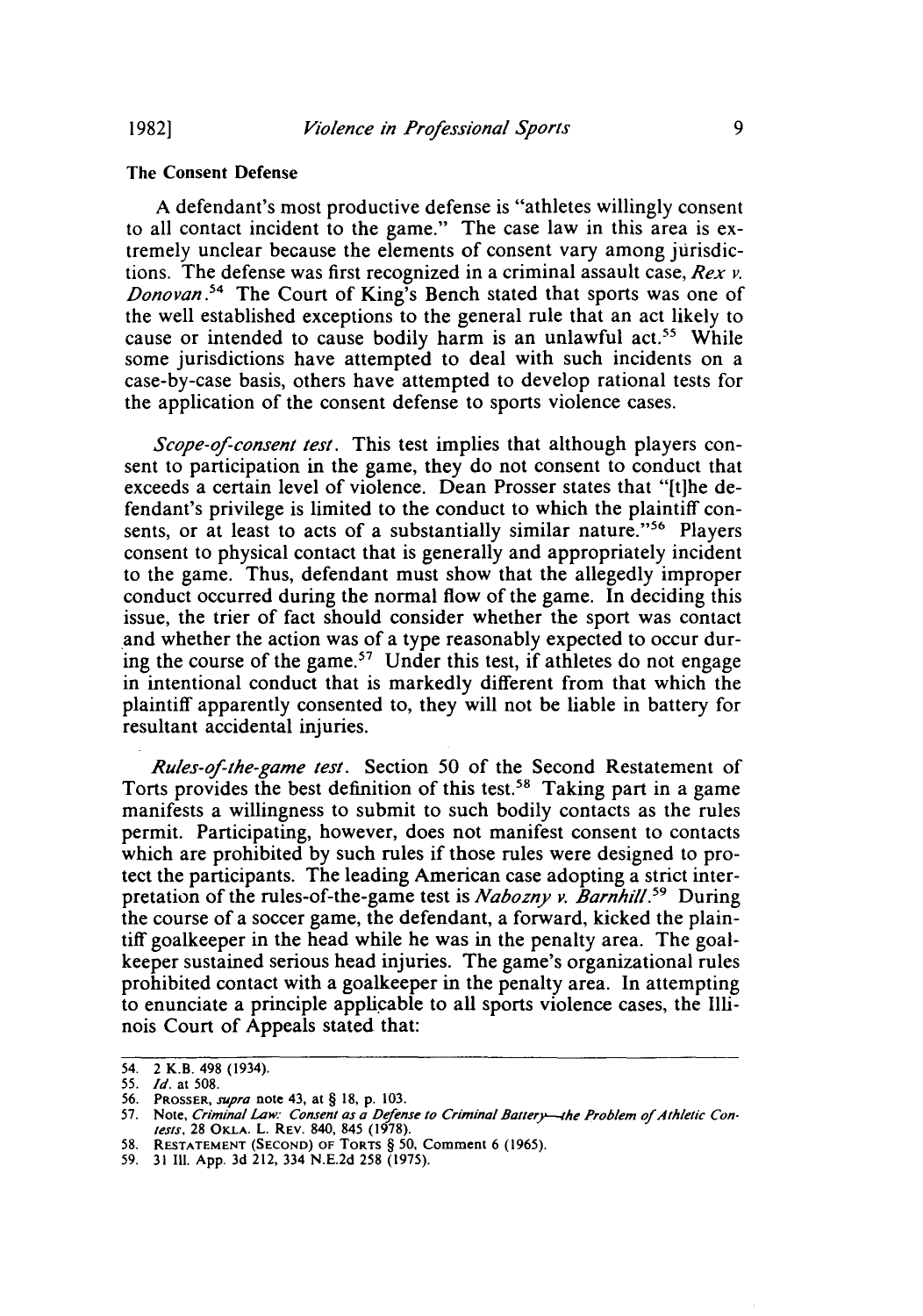**1982]**

#### The Consent Defense

**A** defendant's most productive defense is "athletes willingly consent to all contact incident to the game." The case law in this area is extremely unclear because the elements of consent vary among jurisdictions. The defense was first recognized in a criminal assault case, *Rex v. Donovan."* The Court of King's Bench stated that sports was one of the well established exceptions to the general rule that an act likely to cause or intended to cause bodily harm is an unlawful act.<sup>55</sup> While some jurisdictions have attempted to deal with such incidents on a case-by-case basis, others have attempted to develop rational tests for the application of the consent defense to sports violence cases.

*Scope-of-consent test.* This test implies that although players consent to participation in the game, they do not consent to conduct that exceeds a certain level of violence. Dean Prosser states that "[tihe defendant's privilege is limited to the conduct to which the plaintiff consents, or at least to acts of a substantially similar nature."56 Players consent to physical contact that is generally and appropriately incident to the game. Thus, defendant must show that the allegedly improper conduct occurred during the normal flow of the game. In deciding this issue, the trier of fact should consider whether the sport was contact and whether the action was of a type reasonably expected to occur during the course of the game.<sup>57</sup> Under this test, if athletes do not engage in intentional conduct that is markedly different from that which the plaintiff apparently consented to, they will not be liable in battery for resultant accidental injuries.

*Rules-of-the-game test.* Section 50 of the Second Restatement of Torts provides the best definition of this test.<sup>58</sup> Taking part in a game manifests a willingness to submit to such bodily contacts as the rules permit. Participating, however, does not manifest consent to contacts which are prohibited by such rules if those rules were designed to protect the participants. The leading American case adopting a strict interpretation of the rules-of-the-game test is *Nabozny v. Barnhil.59* During the course of a soccer game, the defendant, a forward, kicked the plaintiff goalkeeper in the head while he was in the penalty area. The goalkeeper sustained serious head injuries. The game's organizational rules prohibited contact with a goalkeeper in the penalty area. In attempting to enunciate a principle applicable to all sports violence cases, the Illinois Court of Appeals stated that:

58. **RESTATEMENT (SECOND)** OF **TORTS** § **50,** Comment 6 (1965).

<sup>54. 2</sup> K.B. 498 (1934).

<sup>55.</sup> *Id.* at 508.

<sup>56.</sup> PROSSER, supra note 43, at § 18, p. 103. **57.** Note, Criminal Law: Consent as a *Defense* to Criminal Battery--4he Problem of *Athletic* Con-tests, 28 **OKLA.** L. REV. 840, 845 **(1978).**

<sup>59. 31</sup> **111.** App. 3d 212, 334 N.E.2d 258 (1975).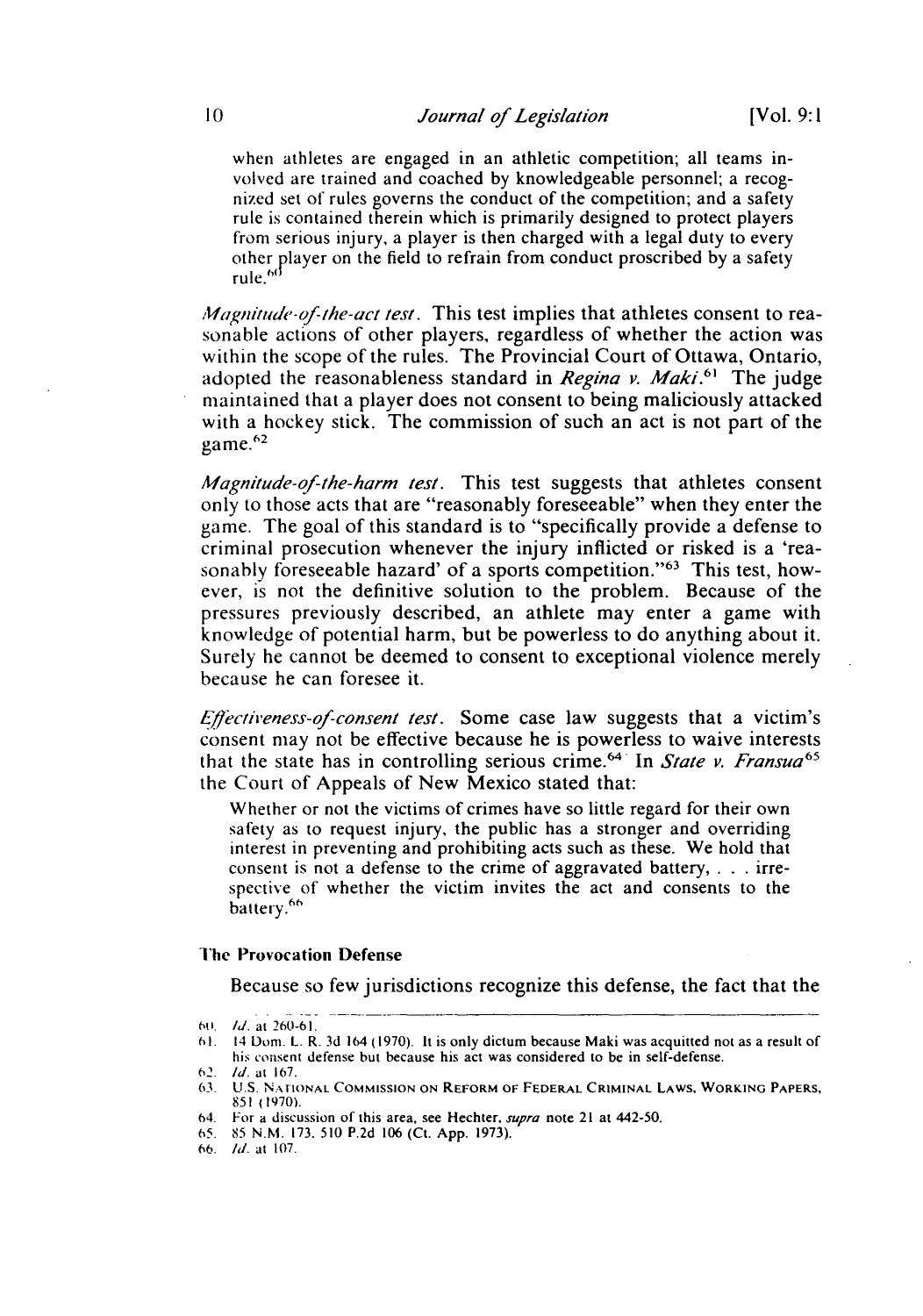when athletes are engaged in an athletic competition; all teams involved are trained and coached by knowledgeable personnel; a recognized set of rules governs the conduct of the competition; and a safety rule is contained therein which is primarily designed to protect players from serious injury, a player is then charged with a legal duty to every other player on the field to refrain from conduct proscribed by a safety rule.<sup>60</sup>

*Magnitude-of-the-act test.* This test implies that athletes consent to reasonable actions of other players, regardless of whether the action was within the scope of the rules. The Provincial Court of Ottawa, Ontario, adopted the reasonableness standard in *Regina v. Maki*.<sup>61</sup> The judge maintained that a player does not consent to being maliciously attacked with a hockey stick. The commission of such an act is not part of the  $game.^{62}$ 

*Magnitude-qf-the-harm test.* This test suggests that athletes consent only to those acts that are "reasonably foreseeable" when they enter the game. The goal of this standard is to "specifically provide a defense to criminal prosecution whenever the injury inflicted or risked is a 'reasonably foreseeable hazard' of a sports competition."63 This test, however, is not the definitive solution to the problem. Because of the pressures previously described, an athlete may enter a game with knowledge of potential harm, but be powerless to do anything about it. Surely he cannot be deemed to consent to exceptional violence merely because he can foresee it.

*E/fecireness-of-consent test.* Some case law suggests that a victim's consent may not be effective because he is powerless to waive interests that the state has in controlling serious crime.<sup>64</sup> In *State v. Fransua*<sup>65</sup> the Court of Appeals of New Mexico stated that:

Whether or not the victims of crimes have so little regard for their own safety as to request injury, the public has a stronger and overriding interest in preventing and prohibiting acts such as these. We hold that consent is not a defense to the crime of aggravated battery, . **.** . irrespective of whether the victim invites the act and consents to the battery.<sup>66</sup>

#### The Provocation Defense

Because so few jurisdictions recognize this defense, the fact that the

<sup>6</sup>o, Id. at 260-61.

**<sup>61.</sup>** 14 Dorn. L. R. 3d 164 (1970). **It** is only dictum because Maki was acquitted not as a result of his consent defense but because his act was considered to be in self-defense.

<sup>62.</sup> **Id.** at 167.

**<sup>63.</sup> U.S. N.\IIONAL COMMISSION ON** REFORM OF **FEDERAL** CRIMINAL **LAWS,** WORKING PAPERS, **851** (1970).

<sup>64.</sup> For a discussion of this area, see Hechter, *supra* note 21 at 442-50.

**<sup>65.</sup>** 85 N.M. 173. 510 P.2d 106 (Ct. App. 1973).

**<sup>66-</sup> 1I.** at 107.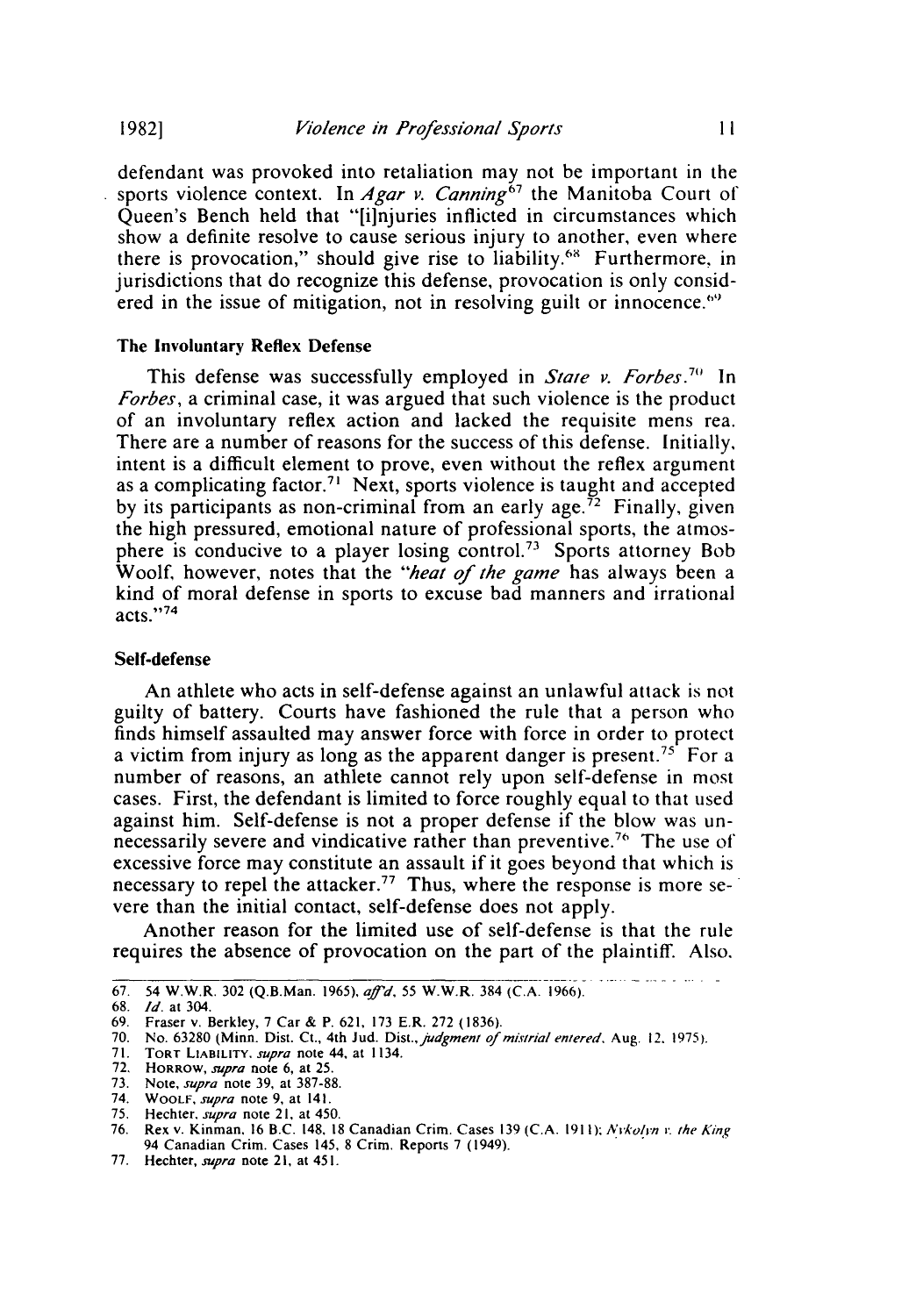*Violence in Professional Sports*

 $11$ 

defendant was provoked into retaliation may not be important in the sports violence context. In *Agar v. Canning*<sup>67</sup> the Manitoba Court of Queen's Bench held that "[ilnjuries inflicted in circumstances which show a definite resolve to cause serious injury to another, even where there is provocation," should give rise to liability.6" Furthermore, in jurisdictions that do recognize this defense, provocation is only considered in the issue of mitigation, not in resolving guilt or innocence.<sup> $69$ </sup>

#### The Involuntary **Reflex Defense**

This defense was successfully employed in *State v. Forbes.7"* In *Forbes,* a criminal case, it was argued that such violence is the product of an involuntary reflex action and lacked the requisite mens rea. There are a number of reasons for the success of this defense. Initially, intent is a difficult element to prove, even without the reflex argument as a complicating factor.<sup>71</sup> Next, sports violence is taught and accepted by its participants as non-criminal from an early age.<sup> $\bar{7}$ 2</sup> Finally, given the high pressured, emotional nature of professional sports, the atmosphere is conducive to a player losing control.<sup>73</sup> Sports attorney Bob Woolf, however, notes that the *"heat of the game* has always been a kind of moral defense in sports to excuse bad manners and irrational acts."<sup>74</sup>

#### **Self-defense**

An athlete who acts in self-defense against an unlawful attack is not guilty of battery. Courts have fashioned the rule that a person who finds himself assaulted may answer force with force in order to protect a victim from injury as long as the apparent danger is present.<sup>75</sup> For a number of reasons, an athlete cannot rely upon self-defense in most cases. First, the defendant is limited to force roughly equal to that used against him. Self-defense is not a proper defense if the blow was unnecessarily severe and vindicative rather than preventive.<sup>76</sup> The use of excessive force may constitute an assault if it goes beyond that which is necessary to repel the attacker.<sup>77</sup> Thus, where the response is more severe than the initial contact, self-defense does not apply.

Another reason for the limited use of self-defense is that the rule requires the absence of provocation on the part of the plaintiff. Also.

- **70.** No. **63280** (Minn. Dist. Ct., 4th Jud. Dist.,judgment of mistrial entered, Aug. 12. **1975).**
- **71. TORT** LIABILITY. supra **note** 44, **at** 1134.

**1982]**

**<sup>67.</sup>** 54 W.W.R. **302** (Q.B.Man. **1965), a'd,** 55 W.W.R. 384 **(C.A. 1966).**

**<sup>68.</sup> Id.** at 304.

**<sup>69.</sup>** Fraser v. Berkley, **7** Car **&** P. **621, 173** E.R. **272 (1836).**

**<sup>72.</sup> HORROW,** supra **note 6,** at **25.**

**<sup>73.</sup>** Note, supra note **39,** at **387-88.** 74. **WOOLF,** *supra* note **9,** at 141.

**<sup>75.</sup>** Hechter. supra note **21,** at 450. **76.** Rex v. Kinman. **16** B.C. 148. **18** Canadian Crim. Cases **139 (C.A. 191** *1)"* Nvkoln *r.* the **Kin,** 94 Canadian Crim. Cases 145, **8** Crin. Reports **7** (1949).

**<sup>77.</sup>** Hechter, *supra* note **21,** at 451.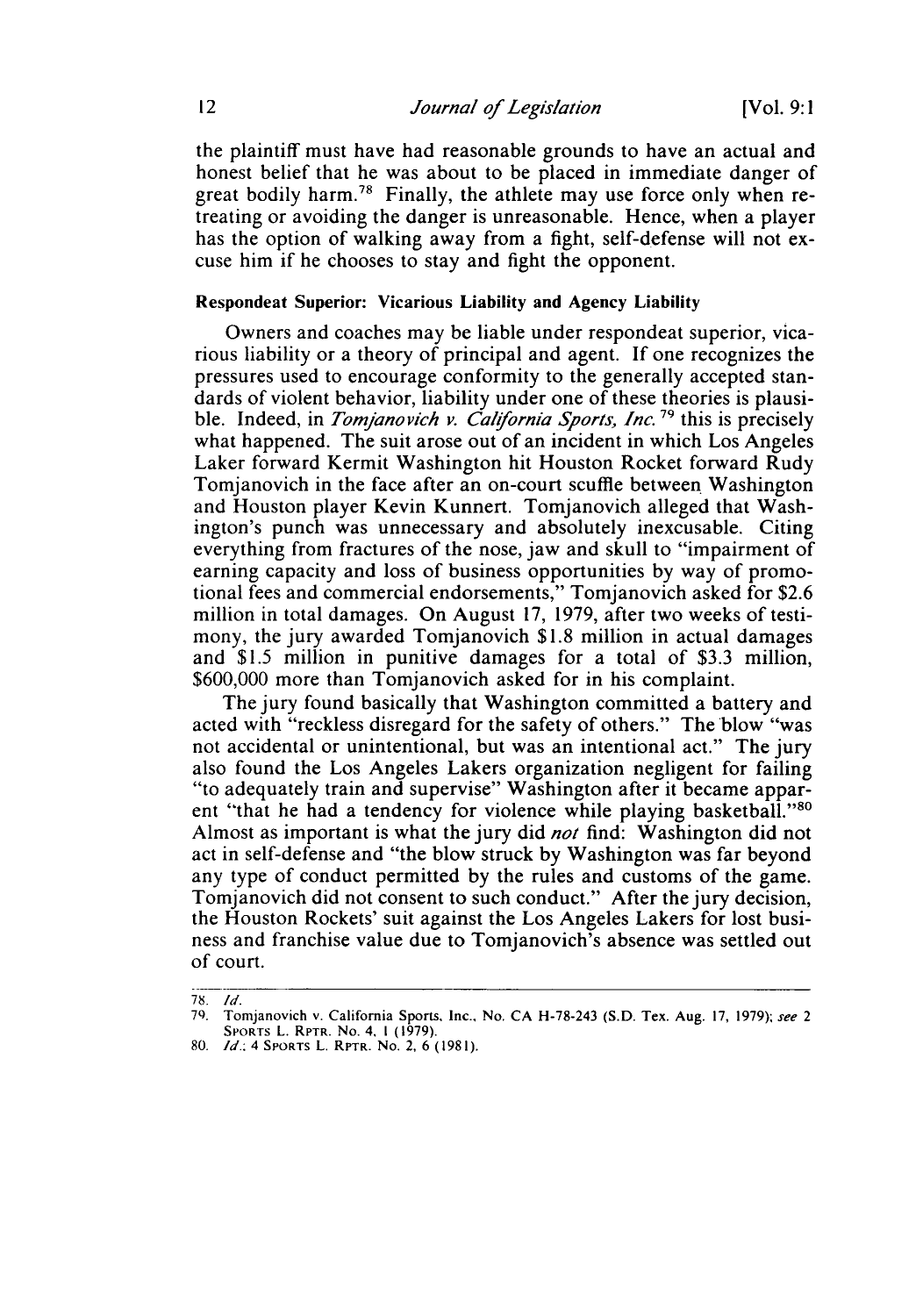the plaintiff must have had reasonable grounds to have an actual and honest belief that he was about to be placed in immediate danger of great bodily harm.78 Finally, the athlete may use force only when retreating or avoiding the danger is unreasonable. Hence, when a player has the option of walking away from a fight, self-defense will not excuse him if he chooses to stay and fight the opponent.

#### Respondeat Superior: Vicarious Liability and Agency Liability

Owners and coaches may be liable under respondeat superior, vicarious liability or a theory of principal and agent. **If** one recognizes the pressures used to encourage conformity to the generally accepted standards of violent behavior, liability under one of these theories is plausible. Indeed, in *Tomjanovich v. California Sports, Inc.*<sup>79</sup> this is precisely what happened. The suit arose out of an incident in which Los Angeles Laker forward Kermit Washington hit Houston Rocket forward Rudy Tomjanovich in the face after an on-court scuffle between Washington and Houston player Kevin Kunnert. Tomjanovich alleged that Washington's punch was unnecessary and absolutely inexcusable. Citing everything from fractures of the nose, jaw and skull to "impairment of earning capacity and loss of business opportunities **by** way of promotional fees and commercial endorsements," Tomjanovich asked for \$2.6 million in total damages. On August 17, 1979, after two weeks of testimony, the jury awarded Tomjanovich \$1.8 million in actual damages and \$1.5 million in punitive damages for a total of \$3.3 million, \$600,000 more than Tomjanovich asked for in his complaint.

The jury found basically that Washington committed a battery and acted with "reckless disregard for the safety of others." The blow "was not accidental or unintentional, but was an intentional act." The jury also found the Los Angeles Lakers organization negligent for failing "to adequately train and supervise" Washington after it became apparent "that he had a tendency for violence while playing basketball."<sup>80</sup> Almost as important is what the jury did *not* find: Washington did not act in self-defense and "the blow struck by Washington was far beyond any type of conduct permitted by the rules and customs of the game. Tomjanovich did not consent to such conduct." After the jury decision, the Houston Rockets' suit against the Los Angeles Lakers for lost business and franchise value due to Tomjanovich's absence was settled out of court.

<sup>78.</sup> *Id.*

**<sup>7).</sup>** Tomjanovich v. California Sports, Inc., No. CA H-78-243 (S.D. Tex. Aug. 17, 1979); see *2* SPORrs L. RPTR. No. 4. **1** (1979).

<sup>80.</sup> *Id.* 4 SPORTs L. RPTR. No. 2, 6 (1981).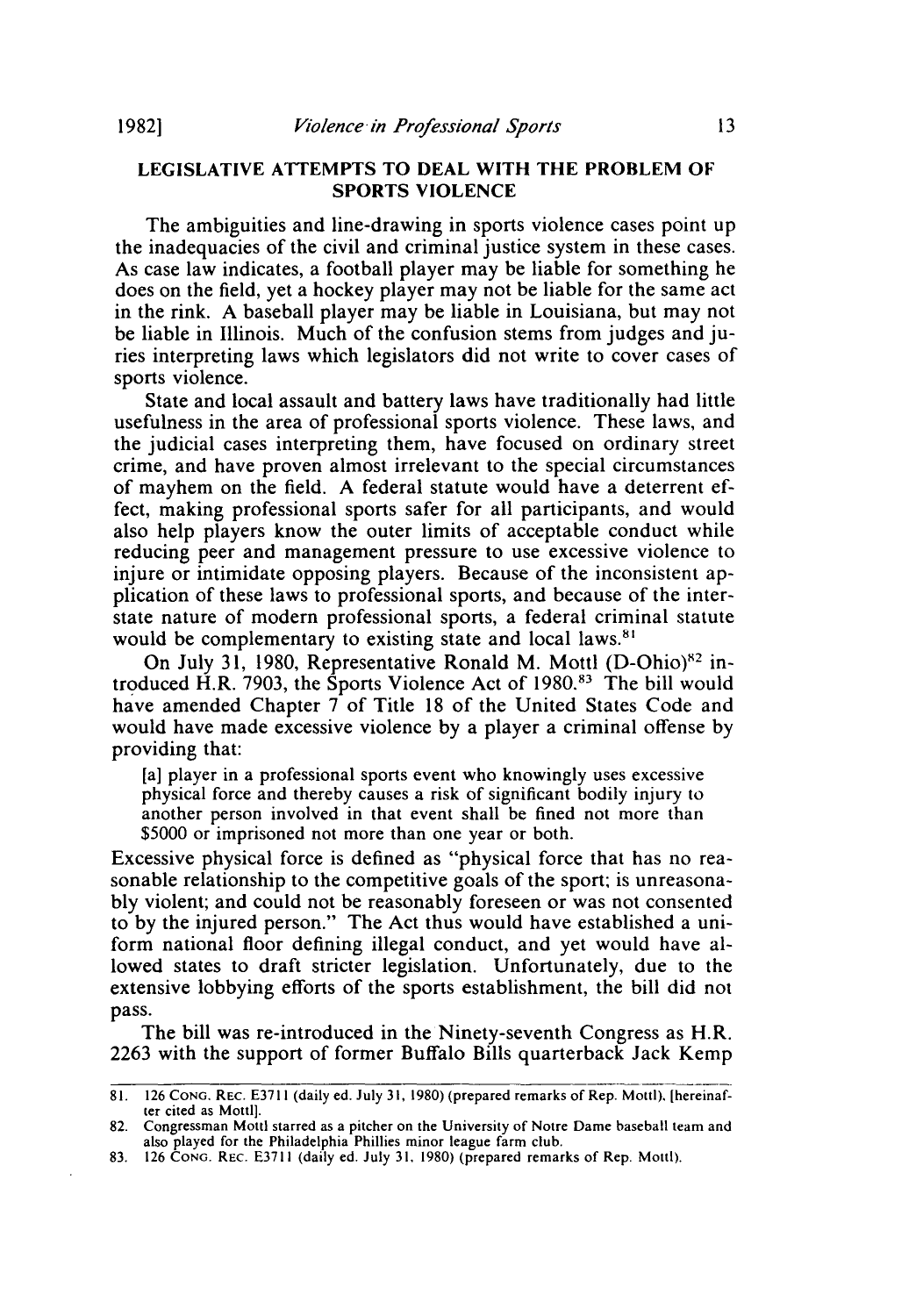#### **LEGISLATIVE ATTEMPTS TO DEAL WITH THE PROBLEM** OF **SPORTS VIOLENCE**

**The** ambiguities and line-drawing in sports violence cases point up the inadequacies of the civil and criminal justice system in these cases. As case law indicates, a football player may be liable for something he does on the field, yet a hockey player may not be liable for the same act in the rink. A baseball player may be liable in Louisiana, but may not be liable in Illinois. Much of the confusion stems from judges and juries interpreting laws which legislators did not write to cover cases of sports violence.

State and local assault and battery laws have traditionally had little usefulness in the area of professional sports violence. These laws, and the judicial cases interpreting them, have focused on ordinary street crime, and have proven almost irrelevant to the special circumstances of mayhem on the field. A federal statute would have a deterrent effect, making professional sports safer for all participants, and would also help players know the outer limits of acceptable conduct while reducing peer and management pressure to use excessive violence to injure or intimidate opposing players. Because of the inconsistent application of these laws to professional sports, and because of the interstate nature of modern professional sports, a federal criminal statute would be complementary to existing state and local laws.<sup>81</sup>

On July 31, 1980, Representative Ronald M. Mottl  $(D\text{-Ohio})^{82}$  introduced H.R. 7903, the Sports Violence Act of 1980.83 The bill would have amended Chapter 7 of Title 18 of the United States Code and would have made excessive violence by a player a criminal offense by providing that:

[a] player in a professional sports event who knowingly uses excessive physical force and thereby causes a risk of significant bodily injury to another person involved in that event shall be fined not more than \$5000 or imprisoned not more than one year or both.

Excessive physical force is defined as "physical force that has no reasonable relationship to the competitive goals of the sport, is unreasonably violent; and could not be reasonably foreseen or was not consented to by the injured person." The Act thus would have established a uniform national floor defining illegal conduct, and yet would have allowed states to draft stricter legislation. Unfortunately, due to the extensive lobbying efforts of the sports establishment, the bill did not pass.

The bill was re-introduced in the Ninety-seventh Congress as H.R. 2263 with the support of former Buffalo Bills quarterback Jack Kemp

<sup>81. 126</sup> CONG. REC. E3711 (daily ed. July **31,** 1980) (prepared remarks of Rep. Mottl), [hereinafter cited as Mottl].

<sup>82.</sup> Congressman Mottl starred as a pitcher on the University of Notre Dame baseball team and also played for the Philadelphia Phillies minor league farm club. 83. 126 CONG. REC. **E3711** (daily ed. July **31,** 1980) (prepared remarks of Rep. Mottl).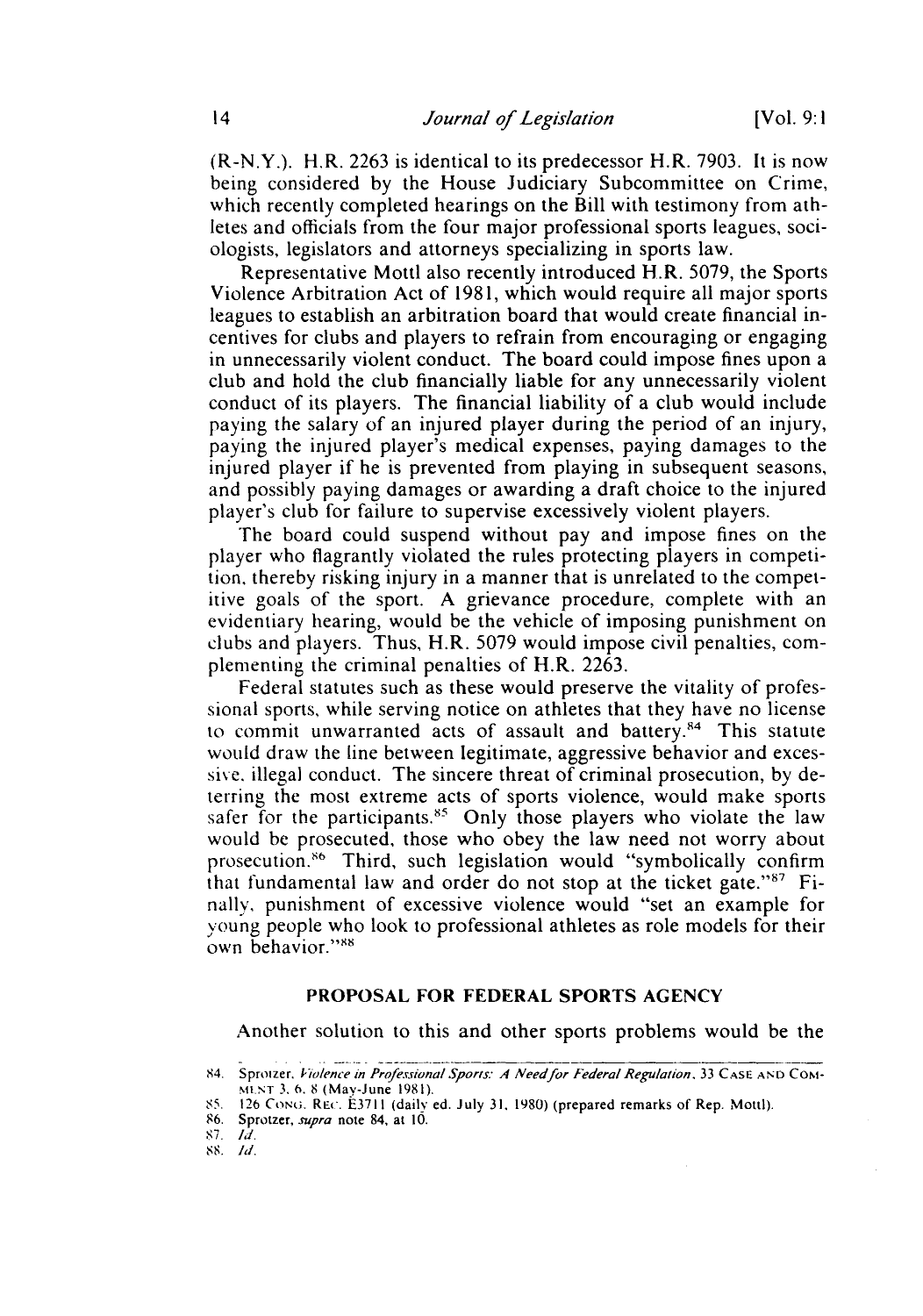(R-N.Y.). H.R. 2263 is identical to its predecessor H.R. 7903. It is now being considered by the House Judiciary Subcommittee on Crime, which recently completed hearings on the Bill with testimony from athletes and officials from the four major professional sports leagues, sociologists, legislators and attorneys specializing in sports law.

Representative Mottl also recently introduced H.R. 5079, the Sports Violence Arbitration Act of 1981, which would require all major sports leagues to establish an arbitration board that would create financial incentives for clubs and players to refrain from encouraging or engaging in unnecessarily violent conduct. The board could impose fines upon a club and hold the club financially liable for any unnecessarily violent conduct of its players. The financial liability of a club would include paying the salary of an injured player during the period of an injury, paying the injured player's medical expenses, paying damages to the injured player if he is prevented from playing in subsequent seasons, and possibly paying damages or awarding a draft choice to the injured player's club for failure to supervise excessively violent players.

The board could suspend without pay and impose fines on the player who flagrantly violated the rules protecting players in competition, thereby risking injury in a manner that is unrelated to the competitive goals of the sport. A grievance procedure, complete with an evidentiary hearing, would be the vehicle of imposing punishment on clubs and players. Thus, H.R. 5079 would impose civil penalties, complementing the criminal penalties of H.R. 2263.

Federal statutes such as these would preserve the vitality of professional sports, while serving notice on athletes that they have no license to commit unwarranted acts of assault and battery.<sup>84</sup> This statute would draw the line between legitimate, aggressive behavior and excessive. illegal conduct. The sincere threat of criminal prosecution, by deterring the most extreme acts of sports violence, would make sports safer for the participants.<sup>85</sup> Only those players who violate the law would be prosecuted, those who obey the law need not worry about prosecution. 6 Third, such legislation would "symbolically confirm that fundamental law and order do not stop at the ticket gate." $87$  Finally, punishment of excessive violence would "set an example for young people who look to professional athletes as role models for their own behavior."<sup>88</sup>

#### PROPOSAL FOR FEDERAL SPORTS **AGENCY**

Another solution to this and other sports problems would be the

<sup>84.</sup> Sproizer, *Violence in Professional Sports: A Need for Federal Regulation*, 33 CASE AND COM-Nwi T **3. 6.** 8 (Max-June 1981).

**<sup>85.</sup>** 126 CoNo. REc. E3711 (daily ed. July **31,** 1980) (prepared remarks of Rep. Mottl).

**<sup>86.</sup>** Sprotzer, *supra* note 84, at 10.

<sup>87.</sup> *TId.*

**<sup>88.</sup> id.**